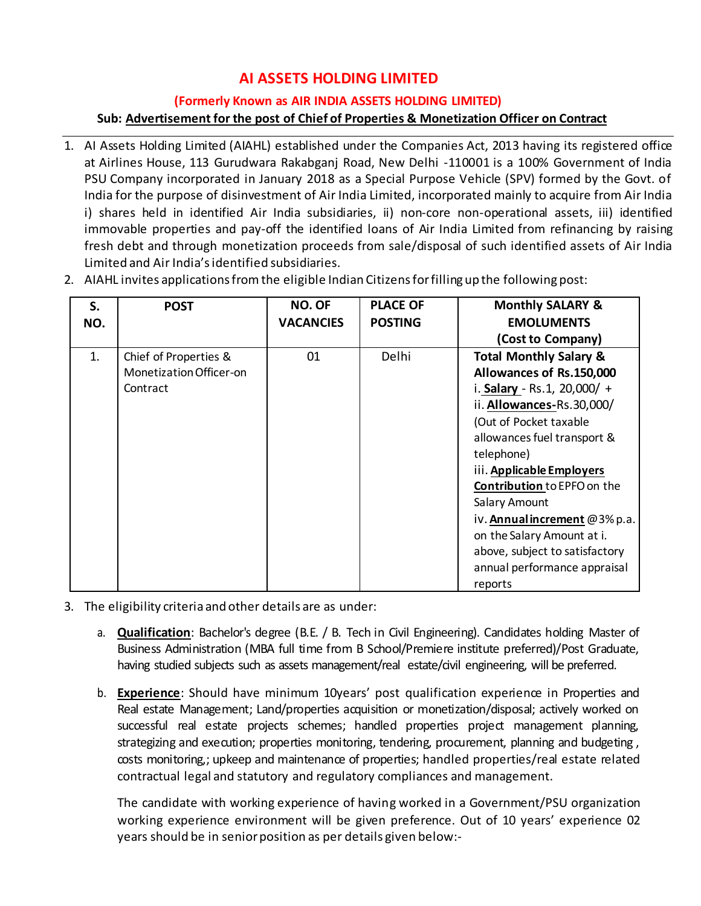# **AI ASSETS HOLDING LIMITED**

#### **(Formerly Known as AIR INDIA ASSETS HOLDING LIMITED)**

## **Sub: Advertisement for the post of Chief of Properties & Monetization Officer on Contract**

- 1. AI Assets Holding Limited (AIAHL) established under the Companies Act, 2013 having its registered office at Airlines House, 113 Gurudwara Rakabganj Road, New Delhi -110001 is a 100% Government of India PSU Company incorporated in January 2018 as a Special Purpose Vehicle (SPV) formed by the Govt. of India for the purpose of disinvestment of Air India Limited, incorporated mainly to acquire from Air India i) shares held in identified Air India subsidiaries, ii) non-core non-operational assets, iii) identified immovable properties and pay-off the identified loans of Air India Limited from refinancing by raising fresh debt and through monetization proceeds from sale/disposal of such identified assets of Air India Limited and Air India'sidentified subsidiaries.
- 2. AIAHL invites applications fromthe eligible Indian Citizensforfilling up the following post:

| S.<br>NO. | <b>POST</b>             | <b>NO. OF</b><br><b>VACANCIES</b> | <b>PLACE OF</b><br><b>POSTING</b> | <b>Monthly SALARY &amp;</b><br><b>EMOLUMENTS</b> |
|-----------|-------------------------|-----------------------------------|-----------------------------------|--------------------------------------------------|
|           |                         |                                   |                                   | (Cost to Company)                                |
| 1.        | Chief of Properties &   | 01                                | <b>Delhi</b>                      | <b>Total Monthly Salary &amp;</b>                |
|           | Monetization Officer-on |                                   |                                   | Allowances of Rs.150,000                         |
|           | Contract                |                                   |                                   | i. Salary - Rs.1, 20,000/ +                      |
|           |                         |                                   |                                   | ii. Allowances-Rs.30,000/                        |
|           |                         |                                   |                                   | (Out of Pocket taxable                           |
|           |                         |                                   |                                   | allowances fuel transport &                      |
|           |                         |                                   |                                   | telephone)                                       |
|           |                         |                                   |                                   | iii. Applicable Employers                        |
|           |                         |                                   |                                   | <b>Contribution to EPFO on the</b>               |
|           |                         |                                   |                                   | Salary Amount                                    |
|           |                         |                                   |                                   | iv. Annual increment @3% p.a.                    |
|           |                         |                                   |                                   | on the Salary Amount at i.                       |
|           |                         |                                   |                                   | above, subject to satisfactory                   |
|           |                         |                                   |                                   | annual performance appraisal                     |
|           |                         |                                   |                                   | reports                                          |

- 3. The eligibility criteria and other details are as under:
	- a. **Qualification**: Bachelor's degree (B.E. / B. Tech in Civil Engineering). Candidates holding Master of Business Administration (MBA full time from B School/Premiere institute preferred)/Post Graduate, having studied subjects such as assets management/real estate/civil engineering, will be preferred.
	- b. **Experience**: Should have minimum 10years' post qualification experience in Properties and Real estate Management; Land/properties acquisition or monetization/disposal; actively worked on successful real estate projects schemes; handled properties project management planning, strategizing and execution; properties monitoring, tendering, procurement, planning and budgeting, costs monitoring,; upkeep and maintenance of properties; handled properties/real estate related contractual legal and statutory and regulatory compliances and management.

The candidate with working experience of having worked in a Government/PSU organization working experience environment will be given preference. Out of 10 years' experience 02 years should be in senior position as per details given below:-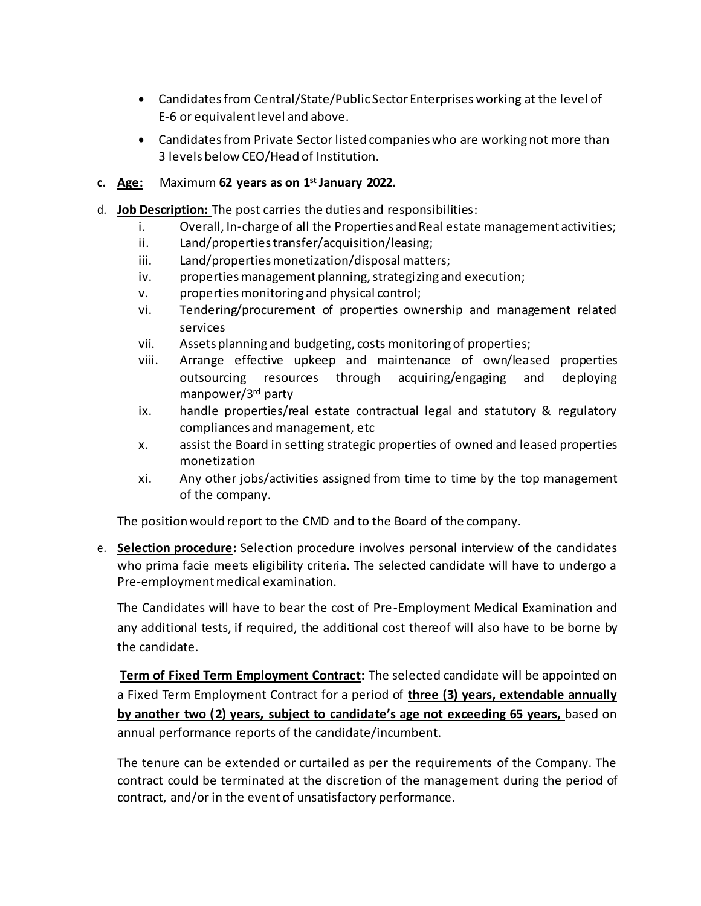- Candidates from Central/State/Public Sector Enterprises working at the level of E-6 or equivalent level and above.
- Candidates from Private Sector listed companies who are working not more than 3 levels below CEO/Head of Institution.
- **c. Age:** Maximum **62 years as on 1 st January 2022.**
- d. **Job Description:** The post carries the duties and responsibilities:
	- i. Overall, In-charge of all the Properties and Real estate management activities;
	- ii. Land/properties transfer/acquisition/leasing;
	- iii. Land/properties monetization/disposal matters;
	- iv. properties management planning, strategizing and execution;
	- v. properties monitoring and physical control;
	- vi. Tendering/procurement of properties ownership and management related services
	- vii. Assets planning and budgeting, costs monitoring of properties;
	- viii. Arrange effective upkeep and maintenance of own/leased properties outsourcing resources through acquiring/engaging and deploying manpower/3rd party
	- ix. handle properties/real estate contractual legal and statutory & regulatory compliances and management, etc
	- x. assist the Board in setting strategic properties of owned and leased properties monetization
	- xi. Any other jobs/activities assigned from time to time by the top management of the company.

The position would report to the CMD and to the Board of the company.

e. **Selection procedure:** Selection procedure involves personal interview of the candidates who prima facie meets eligibility criteria. The selected candidate will have to undergo a Pre-employment medical examination.

The Candidates will have to bear the cost of Pre-Employment Medical Examination and any additional tests, if required, the additional cost thereof will also have to be borne by the candidate.

**Term of Fixed Term Employment Contract:** The selected candidate will be appointed on a Fixed Term Employment Contract for a period of **three (3) years, extendable annually by another two (2) years, subject to candidate's age not exceeding 65 years,** based on annual performance reports of the candidate/incumbent.

The tenure can be extended or curtailed as per the requirements of the Company. The contract could be terminated at the discretion of the management during the period of contract, and/or in the event of unsatisfactory performance.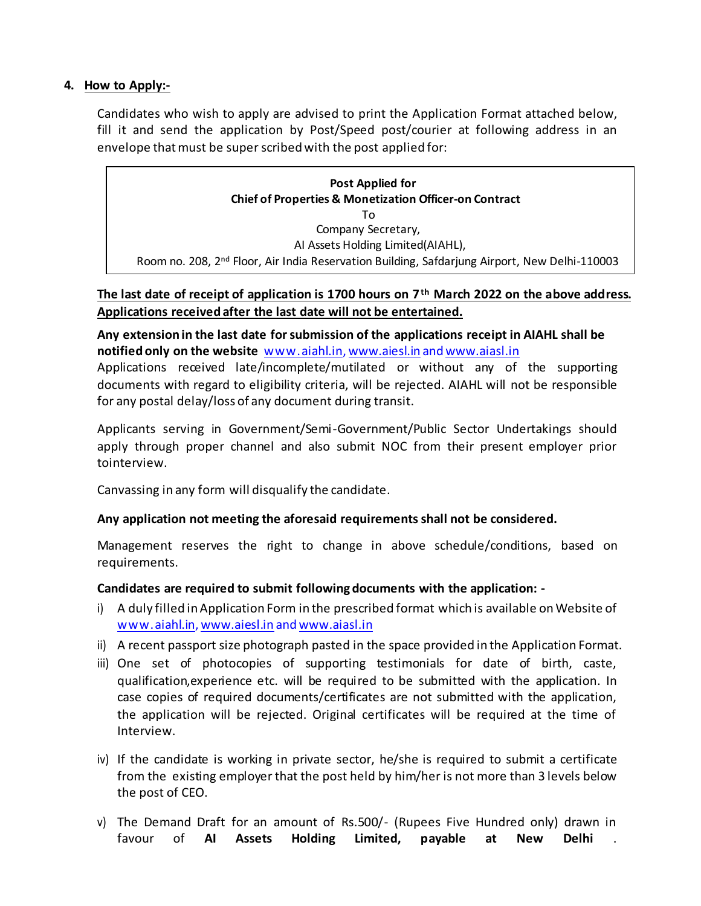#### **4. How to Apply:-**

Candidates who wish to apply are advised to print the Application Format attached below, fill it and send the application by Post/Speed post/courier at following address in an envelope that must be super scribed with the post applied for:

| Post Applied for<br><b>Chief of Properties &amp; Monetization Officer-on Contract</b>                     |  |  |  |  |  |  |
|-----------------------------------------------------------------------------------------------------------|--|--|--|--|--|--|
| Tο                                                                                                        |  |  |  |  |  |  |
| Company Secretary,                                                                                        |  |  |  |  |  |  |
| Al Assets Holding Limited(AIAHL),                                                                         |  |  |  |  |  |  |
| Room no. 208, 2 <sup>nd</sup> Floor, Air India Reservation Building, Safdarjung Airport, New Delhi-110003 |  |  |  |  |  |  |

### **The last date of receipt of application is 1700 hours on 7 th March 2022 on the above address. Applications received after the last date will not be entertained.**

**Any extension in the last date forsubmission of the applications receipt in AIAHL shall be notified only on the website** [www.aiahl.in](http://www.aiahl.in/)[, www.aiesl.in](http://www.aiesl.in/) an[d www.aiasl.in](http://www.aiasl.in/) Applications received late/incomplete/mutilated or without any of the supporting documents with regard to eligibility criteria, will be rejected. AIAHL will not be responsible for any postal delay/loss of any document during transit.

Applicants serving in Government/Semi-Government/Public Sector Undertakings should apply through proper channel and also submit NOC from their present employer prior tointerview.

Canvassing in any form will disqualify the candidate.

## **Any application not meeting the aforesaid requirements shall not be considered.**

Management reserves the right to change in above schedule/conditions, based on requirements.

## **Candidates are required to submit following documents with the application: -**

- i) A duly filled in Application Form in the prescribed format which is available on Website of [www.aiahl.in](http://www.aiahl.in/)[, www.aiesl.in](http://www.aiesl.in/) an[d www.aiasl.in](http://www.aiasl.in/)
- ii) A recent passport size photograph pasted in the space provided in the Application Format.
- iii) One set of photocopies of supporting testimonials for date of birth, caste, qualification,experience etc. will be required to be submitted with the application. In case copies of required documents/certificates are not submitted with the application, the application will be rejected. Original certificates will be required at the time of Interview.
- iv) If the candidate is working in private sector, he/she is required to submit a certificate from the existing employer that the post held by him/her is not more than 3 levels below the post of CEO.
- v) The Demand Draft for an amount of Rs.500/- (Rupees Five Hundred only) drawn in favour of **AI Assets Holding Limited, payable at New Delhi** .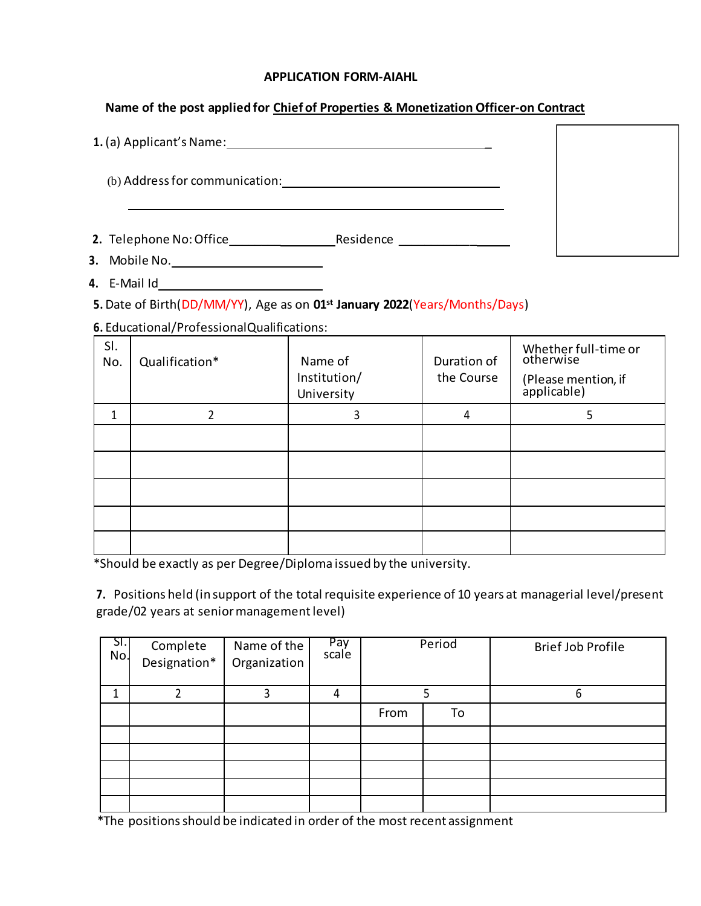#### **APPLICATION FORM-AIAHL**

## **Name of the post applied for Chief of Properties & Monetization Officer-on Contract**

| 1. (a) Applicant's Name:                    |           |  |
|---------------------------------------------|-----------|--|
| (b) Address for communication:              |           |  |
| 2. Telephone No: Office<br><b>A</b> BAILLET | Residence |  |

**3.** Mobile No.

**4.** E-Mail Id

**5.** Date of Birth(DD/MM/YY), Age as on **01st January 2022**(Years/Months/Days)

**6.** Educational/ProfessionalQualifications:

| SI.<br>No. | Qualification* | Name of<br>Institution/<br>University | Duration of<br>the Course | Whether full-time or<br>otherwise<br>(Please mention, if<br>applicable) |
|------------|----------------|---------------------------------------|---------------------------|-------------------------------------------------------------------------|
|            |                | 3                                     | 4                         | 5                                                                       |
|            |                |                                       |                           |                                                                         |
|            |                |                                       |                           |                                                                         |
|            |                |                                       |                           |                                                                         |
|            |                |                                       |                           |                                                                         |
|            |                |                                       |                           |                                                                         |

\*Should be exactly as per Degree/Diploma issued by the university.

**7.** Positions held (in support of the total requisite experience of 10 years at managerial level/present grade/02 years at seniormanagementlevel)

| SI.<br>No. | Complete<br>Designation* | Name of the<br>Organization | Pay<br>scale | Period |    | <b>Brief Job Profile</b> |  |
|------------|--------------------------|-----------------------------|--------------|--------|----|--------------------------|--|
|            |                          |                             | 4            |        |    | h                        |  |
|            |                          |                             |              | From   | To |                          |  |
|            |                          |                             |              |        |    |                          |  |
|            |                          |                             |              |        |    |                          |  |
|            |                          |                             |              |        |    |                          |  |
|            |                          |                             |              |        |    |                          |  |
|            |                          |                             |              |        |    |                          |  |

\*The positions should be indicated in order of the most recent assignment